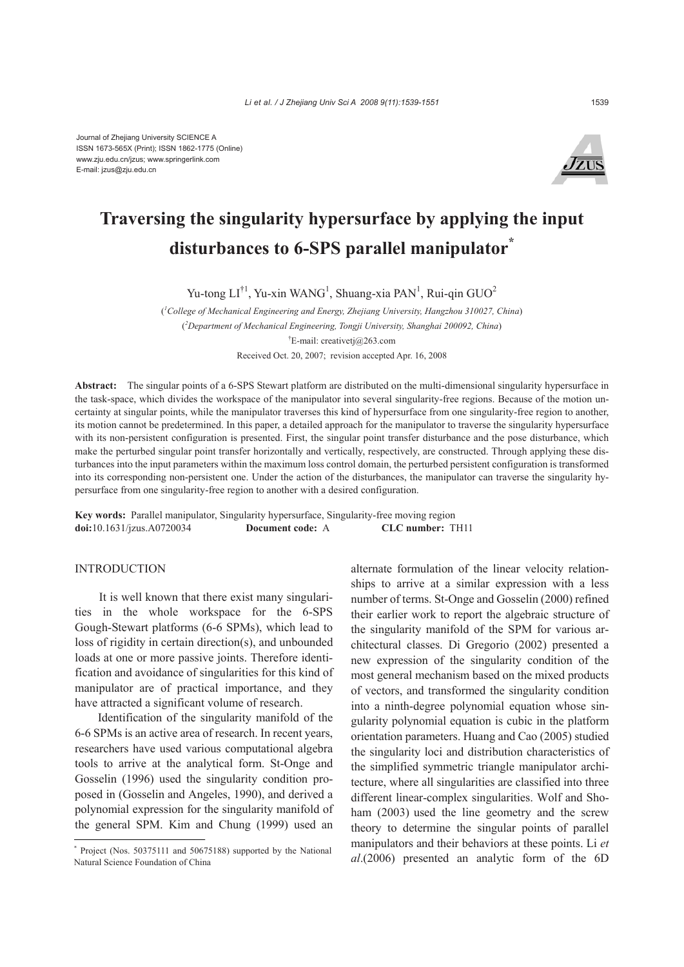

# **Traversing the singularity hypersurface by applying the input disturbances to 6-SPS parallel manipulator\***

Yu-tong LI<sup>†1</sup>, Yu-xin WANG<sup>1</sup>, Shuang-xia PAN<sup>1</sup>, Rui-qin GUO<sup>2</sup>

( *1 College of Mechanical Engineering and Energy, Zhejiang University, Hangzhou 310027, China*) ( *2 Department of Mechanical Engineering, Tongji University, Shanghai 200092, China*) † E-mail: creativetj@263.com Received Oct. 20, 2007; revision accepted Apr. 16, 2008

**Abstract:** The singular points of a 6-SPS Stewart platform are distributed on the multi-dimensional singularity hypersurface in the task-space, which divides the workspace of the manipulator into several singularity-free regions. Because of the motion uncertainty at singular points, while the manipulator traverses this kind of hypersurface from one singularity-free region to another, its motion cannot be predetermined. In this paper, a detailed approach for the manipulator to traverse the singularity hypersurface with its non-persistent configuration is presented. First, the singular point transfer disturbance and the pose disturbance, which make the perturbed singular point transfer horizontally and vertically, respectively, are constructed. Through applying these disturbances into the input parameters within the maximum loss control domain, the perturbed persistent configuration is transformed into its corresponding non-persistent one. Under the action of the disturbances, the manipulator can traverse the singularity hypersurface from one singularity-free region to another with a desired configuration.

**Key words:** Parallel manipulator, Singularity hypersurface, Singularity-free moving region **doi:**10.1631/jzus.A0720034 **Document code:** A **CLC number:** TH11

# INTRODUCTION

It is well known that there exist many singularities in the whole workspace for the 6-SPS Gough-Stewart platforms (6-6 SPMs), which lead to loss of rigidity in certain direction(s), and unbounded loads at one or more passive joints. Therefore identification and avoidance of singularities for this kind of manipulator are of practical importance, and they have attracted a significant volume of research.

Identification of the singularity manifold of the 6-6 SPMs is an active area of research. In recent years, researchers have used various computational algebra tools to arrive at the analytical form. St-Onge and Gosselin (1996) used the singularity condition proposed in (Gosselin and Angeles, 1990), and derived a polynomial expression for the singularity manifold of the general SPM. Kim and Chung (1999) used an alternate formulation of the linear velocity relationships to arrive at a similar expression with a less number of terms. St-Onge and Gosselin (2000) refined their earlier work to report the algebraic structure of the singularity manifold of the SPM for various architectural classes. Di Gregorio (2002) presented a new expression of the singularity condition of the most general mechanism based on the mixed products of vectors, and transformed the singularity condition into a ninth-degree polynomial equation whose singularity polynomial equation is cubic in the platform orientation parameters. Huang and Cao (2005) studied the singularity loci and distribution characteristics of the simplified symmetric triangle manipulator architecture, where all singularities are classified into three different linear-complex singularities. Wolf and Shoham (2003) used the line geometry and the screw theory to determine the singular points of parallel manipulators and their behaviors at these points. Li *et al*.(2006) presented an analytic form of the 6D

<sup>\*</sup> Project (Nos. 50375111 and 50675188) supported by the National Natural Science Foundation of China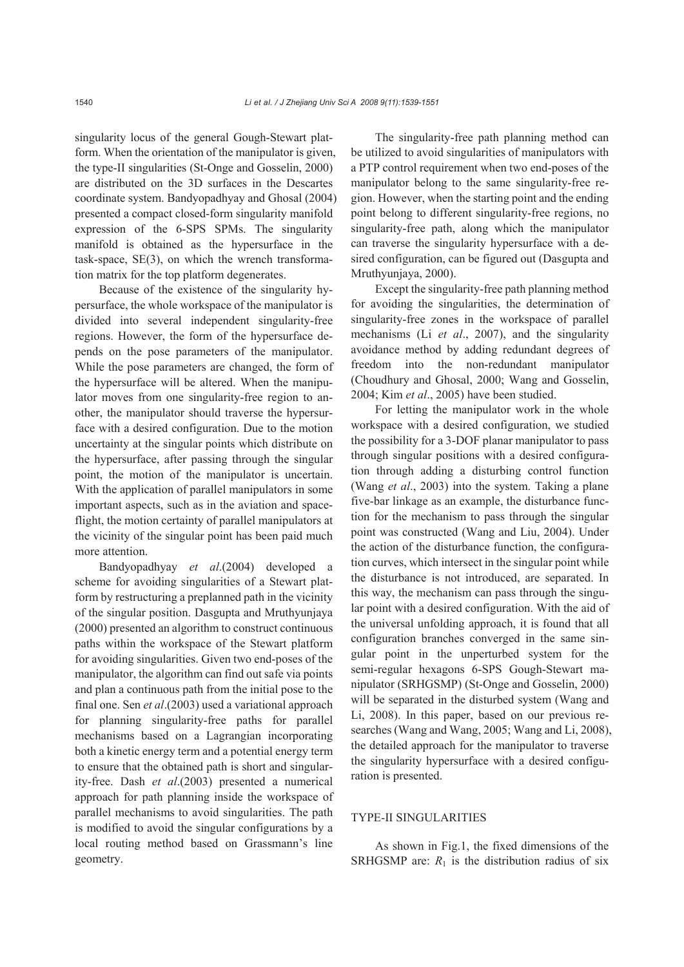singularity locus of the general Gough-Stewart platform. When the orientation of the manipulator is given, the type-II singularities (St-Onge and Gosselin, 2000) are distributed on the 3D surfaces in the Descartes coordinate system. Bandyopadhyay and Ghosal (2004) presented a compact closed-form singularity manifold expression of the 6-SPS SPMs. The singularity manifold is obtained as the hypersurface in the task-space, SE(3), on which the wrench transformation matrix for the top platform degenerates.

Because of the existence of the singularity hypersurface, the whole workspace of the manipulator is divided into several independent singularity-free regions. However, the form of the hypersurface depends on the pose parameters of the manipulator. While the pose parameters are changed, the form of the hypersurface will be altered. When the manipulator moves from one singularity-free region to another, the manipulator should traverse the hypersurface with a desired configuration. Due to the motion uncertainty at the singular points which distribute on the hypersurface, after passing through the singular point, the motion of the manipulator is uncertain. With the application of parallel manipulators in some important aspects, such as in the aviation and spaceflight, the motion certainty of parallel manipulators at the vicinity of the singular point has been paid much more attention.

Bandyopadhyay *et al*.(2004) developed a scheme for avoiding singularities of a Stewart platform by restructuring a preplanned path in the vicinity of the singular position. Dasgupta and Mruthyunjaya (2000) presented an algorithm to construct continuous paths within the workspace of the Stewart platform for avoiding singularities. Given two end-poses of the manipulator, the algorithm can find out safe via points and plan a continuous path from the initial pose to the final one. Sen *et al*.(2003) used a variational approach for planning singularity-free paths for parallel mechanisms based on a Lagrangian incorporating both a kinetic energy term and a potential energy term to ensure that the obtained path is short and singularity-free. Dash *et al*.(2003) presented a numerical approach for path planning inside the workspace of parallel mechanisms to avoid singularities. The path is modified to avoid the singular configurations by a local routing method based on Grassmann's line geometry.

The singularity-free path planning method can be utilized to avoid singularities of manipulators with a PTP control requirement when two end-poses of the manipulator belong to the same singularity-free region. However, when the starting point and the ending point belong to different singularity-free regions, no singularity-free path, along which the manipulator can traverse the singularity hypersurface with a desired configuration, can be figured out (Dasgupta and Mruthyunjaya, 2000).

Except the singularity-free path planning method for avoiding the singularities, the determination of singularity-free zones in the workspace of parallel mechanisms (Li *et al*., 2007), and the singularity avoidance method by adding redundant degrees of freedom into the non-redundant manipulator (Choudhury and Ghosal, 2000; Wang and Gosselin, 2004; Kim *et al*., 2005) have been studied.

For letting the manipulator work in the whole workspace with a desired configuration, we studied the possibility for a 3-DOF planar manipulator to pass through singular positions with a desired configuration through adding a disturbing control function (Wang *et al*., 2003) into the system. Taking a plane five-bar linkage as an example, the disturbance function for the mechanism to pass through the singular point was constructed (Wang and Liu, 2004). Under the action of the disturbance function, the configuration curves, which intersect in the singular point while the disturbance is not introduced, are separated. In this way, the mechanism can pass through the singular point with a desired configuration. With the aid of the universal unfolding approach, it is found that all configuration branches converged in the same singular point in the unperturbed system for the semi-regular hexagons 6-SPS Gough-Stewart manipulator (SRHGSMP) (St-Onge and Gosselin, 2000) will be separated in the disturbed system (Wang and Li, 2008). In this paper, based on our previous researches (Wang and Wang, 2005; Wang and Li, 2008), the detailed approach for the manipulator to traverse the singularity hypersurface with a desired configuration is presented.

#### TYPE-II SINGULARITIES

As shown in Fig.1, the fixed dimensions of the SRHGSMP are:  $R_1$  is the distribution radius of six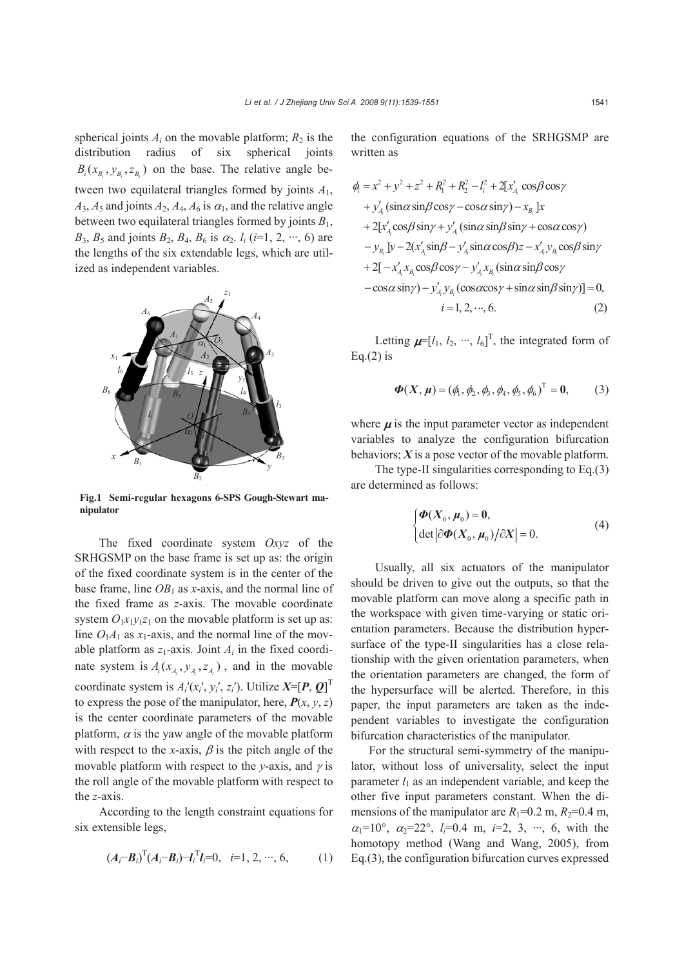spherical joints  $A_i$  on the movable platform;  $R_2$  is the distribution radius of six spherical joints  $B_i(x_{B_i}, y_{B_i}, z_{B_i})$  on the base. The relative angle between two equilateral triangles formed by joints *A*1,  $A_3$ ,  $A_5$  and joints  $A_2$ ,  $A_4$ ,  $A_6$  is  $\alpha_1$ , and the relative angle between two equilateral triangles formed by joints *B*1, *B*<sub>3</sub>, *B*<sub>5</sub> and joints *B*<sub>2</sub>, *B*<sub>4</sub>, *B*<sub>6</sub> is  $\alpha_2$ , *l<sub>i</sub>* (*i*=1, 2, …, 6) are the lengths of the six extendable legs, which are utilized as independent variables.



**Fig.1 Semi-regular hexagons 6-SPS Gough-Stewart manipulator** 

The fixed coordinate system *Oxyz* of the SRHGSMP on the base frame is set up as: the origin of the fixed coordinate system is in the center of the base frame, line  $OB_1$  as *x*-axis, and the normal line of the fixed frame as *z*-axis. The movable coordinate system  $O_1x_1y_1z_1$  on the movable platform is set up as: line  $O_1A_1$  as  $x_1$ -axis, and the normal line of the movable platform as  $z_1$ -axis. Joint  $A_i$  in the fixed coordinate system is  $A_i(x_A, y_A, z_A)$ , and in the movable coordinate system is  $A_i'(x_i', y_i', z_i')$ . Utilize  $X=[P, Q]$ <sup>T</sup> to express the pose of the manipulator, here,  $P(x, y, z)$ is the center coordinate parameters of the movable platform,  $\alpha$  is the yaw angle of the movable platform with respect to the *x*-axis,  $\beta$  is the pitch angle of the movable platform with respect to the *y*-axis, and  $\gamma$  is the roll angle of the movable platform with respect to the *z*-axis.

According to the length constraint equations for six extensible legs,

$$
(A_i - B_i)^T (A_i - B_i) - I_i^T I_i = 0, \quad i = 1, 2, \cdots, 6,
$$
 (1)

the configuration equations of the SRHGSMP are written as

$$
\phi_i = x^2 + y^2 + z^2 + R_1^2 + R_2^2 - l_i^2 + 2[x'_A \cos\beta \cos\gamma
$$
  
+  $y'_A (\sin\alpha \sin\beta \cos\gamma - \cos\alpha \sin\gamma) - x_{B_i}]x$   
+  $2[x'_A \cos\beta \sin\gamma + y'_A (\sin\alpha \sin\beta \sin\gamma + \cos\alpha \cos\gamma)$   
-  $y_{B_i}]y - 2(x'_A \sin\beta - y'_A \sin\alpha \cos\beta)z - x'_A y_{B_i} \cos\beta \sin\gamma$   
+  $2[-x'_A x_{B_i} \cos\beta \cos\gamma - y'_A x_{B_i} (\sin\alpha \sin\beta \cos\gamma$   
-  $\cos\alpha \sin\gamma$ ) -  $y'_A y_{B_i} (\cos\alpha \cos\gamma + \sin\alpha \sin\beta \sin\gamma)] = 0,$   
 $i = 1, 2, \cdots, 6.$  (2)

Letting  $\boldsymbol{\mu} = [l_1, l_2, \dots, l_6]^T$ , the integrated form of Eq. $(2)$  is

$$
\mathbf{\Phi}(X,\mu) = (\phi_1, \phi_2, \phi_3, \phi_4, \phi_5, \phi_6)^T = 0, \quad (3)
$$

where  $\mu$  is the input parameter vector as independent variables to analyze the configuration bifurcation behaviors; *X* is a pose vector of the movable platform.

The type-II singularities corresponding to Eq.(3) are determined as follows:

$$
\begin{cases} \boldsymbol{\Phi}(X_0, \boldsymbol{\mu}_0) = \mathbf{0}, \\ \det |\partial \boldsymbol{\Phi}(X_0, \boldsymbol{\mu}_0)/\partial X| = 0. \end{cases}
$$
 (4)

Usually, all six actuators of the manipulator should be driven to give out the outputs, so that the movable platform can move along a specific path in the workspace with given time-varying or static orientation parameters. Because the distribution hypersurface of the type-II singularities has a close relationship with the given orientation parameters, when the orientation parameters are changed, the form of the hypersurface will be alerted. Therefore, in this paper, the input parameters are taken as the independent variables to investigate the configuration bifurcation characteristics of the manipulator.

 For the structural semi-symmetry of the manipulator, without loss of universality, select the input parameter  $l_1$  as an independent variable, and keep the other five input parameters constant. When the dimensions of the manipulator are  $R_1=0.2$  m,  $R_2=0.4$  m,  $\alpha_1=10^\circ$ ,  $\alpha_2=22^\circ$ ,  $l_i=0.4$  m,  $i=2, 3, \cdots, 6$ , with the homotopy method (Wang and Wang, 2005), from Eq.(3), the configuration bifurcation curves expressed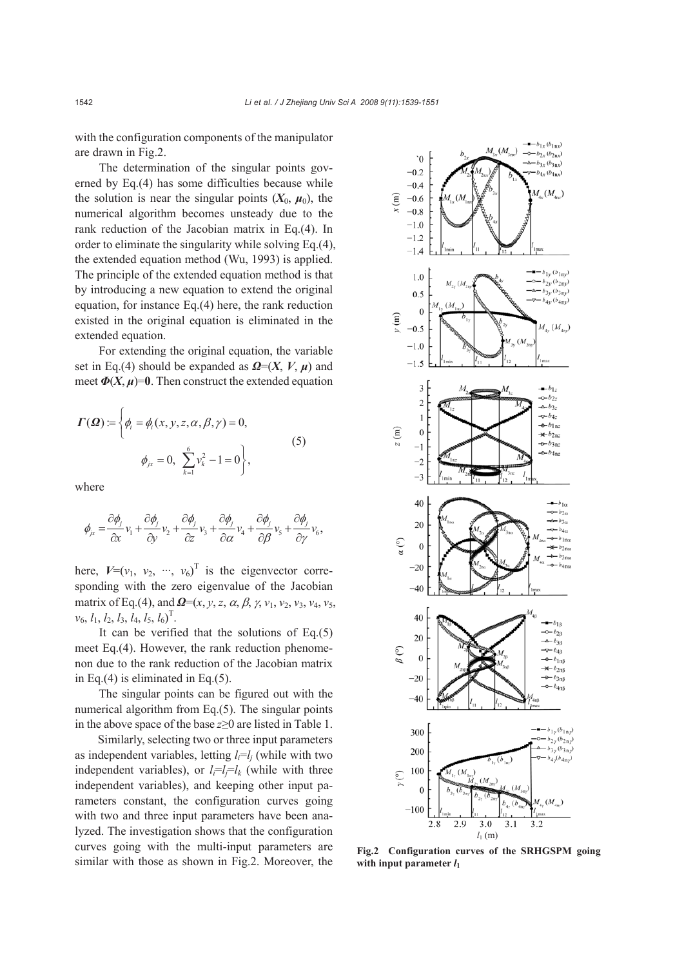with the configuration components of the manipulator are drawn in Fig.2.

The determination of the singular points governed by Eq.(4) has some difficulties because while the solution is near the singular points  $(X_0, \mu_0)$ , the numerical algorithm becomes unsteady due to the rank reduction of the Jacobian matrix in Eq.(4). In order to eliminate the singularity while solving Eq.(4), the extended equation method (Wu, 1993) is applied. The principle of the extended equation method is that by introducing a new equation to extend the original equation, for instance Eq.(4) here, the rank reduction existed in the original equation is eliminated in the extended equation.

For extending the original equation, the variable set in Eq.(4) should be expanded as  $\mathbf{Q}=(X, V, \mu)$  and meet  $\Phi(X, \mu) = 0$ . Then construct the extended equation

$$
\Gamma(\Omega) = \left\{ \phi_i = \phi_i(x, y, z, \alpha, \beta, \gamma) = 0, \phi_{jx} = 0, \sum_{k=1}^{6} v_k^2 - 1 = 0 \right\},
$$
\n(5)

where

$$
\phi_{jx} = \frac{\partial \phi_j}{\partial x} v_1 + \frac{\partial \phi_j}{\partial y} v_2 + \frac{\partial \phi_j}{\partial z} v_3 + \frac{\partial \phi_j}{\partial \alpha} v_4 + \frac{\partial \phi_j}{\partial \beta} v_5 + \frac{\partial \phi_j}{\partial \gamma} v_6,
$$

here,  $V=(v_1, v_2, \cdots, v_6)^T$  is the eigenvector corresponding with the zero eigenvalue of the Jacobian matrix of Eq.(4), and  $\mathbf{\Omega} = (x, y, z, \alpha, \beta, \gamma, v_1, v_2, v_3, v_4, v_5)$  $v_6$ ,  $l_1$ ,  $l_2$ ,  $l_3$ ,  $l_4$ ,  $l_5$ ,  $l_6$ )<sup>T</sup>.

It can be verified that the solutions of Eq.(5) meet Eq.(4). However, the rank reduction phenomenon due to the rank reduction of the Jacobian matrix in Eq. $(4)$  is eliminated in Eq. $(5)$ .

The singular points can be figured out with the numerical algorithm from Eq.(5). The singular points in the above space of the base *z*≥0 are listed in Table 1.

Similarly, selecting two or three input parameters as independent variables, letting  $l_i = l_i$  (while with two independent variables), or  $l_i = l_j = l_k$  (while with three independent variables), and keeping other input parameters constant, the configuration curves going with two and three input parameters have been analyzed. The investigation shows that the configuration curves going with the multi-input parameters are similar with those as shown in Fig.2. Moreover, the



**Fig.2 Configuration curves of the SRHGSPM going** with input parameter  $l_1$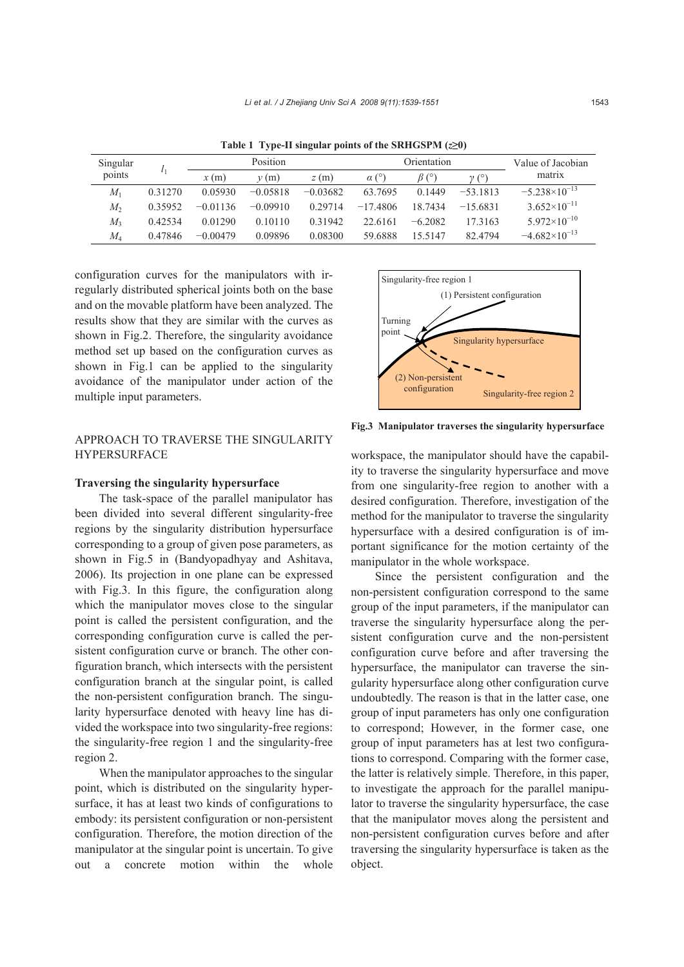|          | $\frac{1}{2}$ which is a produced to the state of the state of $\frac{1}{2}$ (i.e., $\frac{1}{2}$ ) |            |            |            |              |             |                   |                        |
|----------|-----------------------------------------------------------------------------------------------------|------------|------------|------------|--------------|-------------|-------------------|------------------------|
| Singular |                                                                                                     | Position   |            |            | Orientation  |             |                   | Value of Jacobian      |
| points   |                                                                                                     | x(m)       | v(m)       | z(m)       | $\alpha$ (°) | $\beta$ (°) | $\nu$ ( $\circ$ ) | matrix                 |
| $M_1$    | 0.31270                                                                                             | 0.05930    | $-0.05818$ | $-0.03682$ | 63.7695      | 0.1449      | $-531813$         | $-5.238\times10^{-13}$ |
| $M_{2}$  | 0.35952                                                                                             | $-0.01136$ | $-0.09910$ | 0.29714    | $-17.4806$   | 18 7434     | $-156831$         | $3.652\times10^{-11}$  |
| $M_{3}$  | 0.42534                                                                                             | 0.01290    | 0.10110    | 0.31942    | 22.6161      | $-6.2082$   | 17.3163           | $5.972\times10^{-10}$  |
| $M_{4}$  | 0.47846                                                                                             | $-0.00479$ | 0.09896    | 0.08300    | 59.6888      | 15 5 1 4 7  | 82.4794           | $-4.682\times10^{-13}$ |

**Table 1 Type-II singular points of the SRHGSPM (***z***≥0)**

configuration curves for the manipulators with irregularly distributed spherical joints both on the base and on the movable platform have been analyzed. The results show that they are similar with the curves as shown in Fig.2. Therefore, the singularity avoidance method set up based on the configuration curves as shown in Fig.1 can be applied to the singularity avoidance of the manipulator under action of the multiple input parameters.

# APPROACH TO TRAVERSE THE SINGULARITY HYPERSURFACE

# **Traversing the singularity hypersurface**

The task-space of the parallel manipulator has been divided into several different singularity-free regions by the singularity distribution hypersurface corresponding to a group of given pose parameters, as shown in Fig.5 in (Bandyopadhyay and Ashitava, 2006). Its projection in one plane can be expressed with Fig.3. In this figure, the configuration along which the manipulator moves close to the singular point is called the persistent configuration, and the corresponding configuration curve is called the persistent configuration curve or branch. The other configuration branch, which intersects with the persistent configuration branch at the singular point, is called the non-persistent configuration branch. The singularity hypersurface denoted with heavy line has divided the workspace into two singularity-free regions: the singularity-free region 1 and the singularity-free region 2.

When the manipulator approaches to the singular point, which is distributed on the singularity hypersurface, it has at least two kinds of configurations to embody: its persistent configuration or non-persistent configuration. Therefore, the motion direction of the manipulator at the singular point is uncertain. To give out a concrete motion within the whole



**Fig.3 Manipulator traverses the singularity hypersurface**

workspace, the manipulator should have the capability to traverse the singularity hypersurface and move from one singularity-free region to another with a desired configuration. Therefore, investigation of the method for the manipulator to traverse the singularity hypersurface with a desired configuration is of important significance for the motion certainty of the manipulator in the whole workspace.

Since the persistent configuration and the non-persistent configuration correspond to the same group of the input parameters, if the manipulator can traverse the singularity hypersurface along the persistent configuration curve and the non-persistent configuration curve before and after traversing the hypersurface, the manipulator can traverse the singularity hypersurface along other configuration curve undoubtedly. The reason is that in the latter case, one group of input parameters has only one configuration to correspond; However, in the former case, one group of input parameters has at lest two configurations to correspond. Comparing with the former case, the latter is relatively simple. Therefore, in this paper, to investigate the approach for the parallel manipulator to traverse the singularity hypersurface, the case that the manipulator moves along the persistent and non-persistent configuration curves before and after traversing the singularity hypersurface is taken as the object.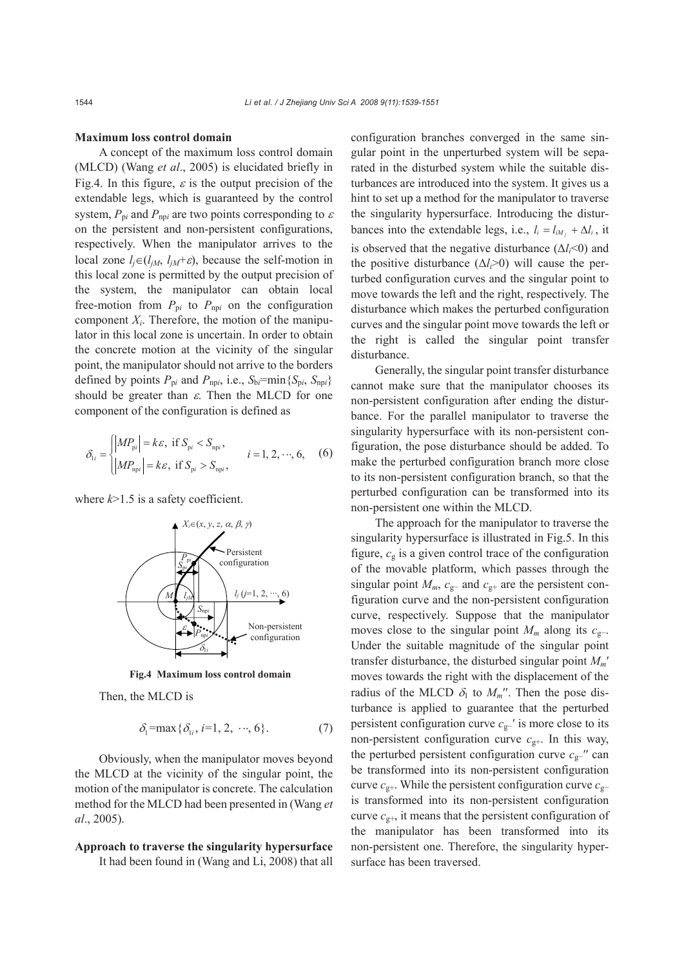#### **Maximum loss control domain**

A concept of the maximum loss control domain (MLCD) (Wang *et al*., 2005) is elucidated briefly in Fig.4. In this figure,  $\varepsilon$  is the output precision of the extendable legs, which is guaranteed by the control system,  $P_{pi}$  and  $P_{nni}$  are two points corresponding to  $\varepsilon$ on the persistent and non-persistent configurations, respectively. When the manipulator arrives to the local zone  $l_j \in (l_{jM}, l_{jM} + \varepsilon)$ , because the self-motion in this local zone is permitted by the output precision of the system, the manipulator can obtain local free-motion from  $P_{pi}$  to  $P_{npi}$  on the configuration component  $X_i$ . Therefore, the motion of the manipulator in this local zone is uncertain. In order to obtain the concrete motion at the vicinity of the singular point, the manipulator should not arrive to the borders defined by points  $P_{pi}$  and  $P_{npj}$ , i.e.,  $S_{bi} = \min\{S_{pi}, S_{npj}\}\$ should be greater than  $\varepsilon$ . Then the MLCD for one component of the configuration is defined as

$$
\delta_{1i} = \begin{cases} \left| MP_{pi} \right| = k\varepsilon, \text{ if } S_{pi} < S_{npi}, \\ \left| MP_{npi} \right| = k\varepsilon, \text{ if } S_{pi} > S_{npi}, \end{cases} \quad i = 1, 2, \cdots, 6, \quad (6)
$$

where  $k > 1.5$  is a safety coefficient.



**Fig.4 Maximum loss control domain** 

Then, the MLCD is

$$
\delta_1 = \max{\delta_i, i=1, 2, \cdots, 6}.
$$
 (7)

Obviously, when the manipulator moves beyond the MLCD at the vicinity of the singular point, the motion of the manipulator is concrete. The calculation method for the MLCD had been presented in (Wang *et al*., 2005).

# **Approach to traverse the singularity hypersurface**

It had been found in (Wang and Li, 2008) that all

configuration branches converged in the same singular point in the unperturbed system will be separated in the disturbed system while the suitable disturbances are introduced into the system. It gives us a hint to set up a method for the manipulator to traverse the singularity hypersurface. Introducing the disturbances into the extendable legs, i.e.,  $l_i = l_{iM_i} + \Delta l_i$ , it is observed that the negative disturbance  $(\Delta l_i < 0)$  and the positive disturbance  $(\Delta l_i>0)$  will cause the perturbed configuration curves and the singular point to move towards the left and the right, respectively. The disturbance which makes the perturbed configuration curves and the singular point move towards the left or the right is called the singular point transfer disturbance.

Generally, the singular point transfer disturbance cannot make sure that the manipulator chooses its non-persistent configuration after ending the disturbance. For the parallel manipulator to traverse the singularity hypersurface with its non-persistent configuration, the pose disturbance should be added. To make the perturbed configuration branch more close to its non-persistent configuration branch, so that the perturbed configuration can be transformed into its non-persistent one within the MLCD.

The approach for the manipulator to traverse the singularity hypersurface is illustrated in Fig.5. In this figure,  $c_g$  is a given control trace of the configuration of the movable platform, which passes through the singular point  $M_m$ ,  $c_{g-}$  and  $c_{g+}$  are the persistent configuration curve and the non-persistent configuration curve, respectively. Suppose that the manipulator moves close to the singular point  $M_m$  along its  $c_{g-1}$ . Under the suitable magnitude of the singular point transfer disturbance, the disturbed singular point *Mm*′ moves towards the right with the displacement of the radius of the MLCD  $\delta_1$  to  $M_m$ ". Then the pose disturbance is applied to guarantee that the perturbed persistent configuration curve *c*g−′ is more close to its non-persistent configuration curve  $c_{g+}$ . In this way, the perturbed persistent configuration curve *c*g−′′ can be transformed into its non-persistent configuration curve *c*<sub>g+</sub>. While the persistent configuration curve *c*<sub>g−</sub> is transformed into its non-persistent configuration curve  $c_{g+}$ , it means that the persistent configuration of the manipulator has been transformed into its non-persistent one. Therefore, the singularity hypersurface has been traversed.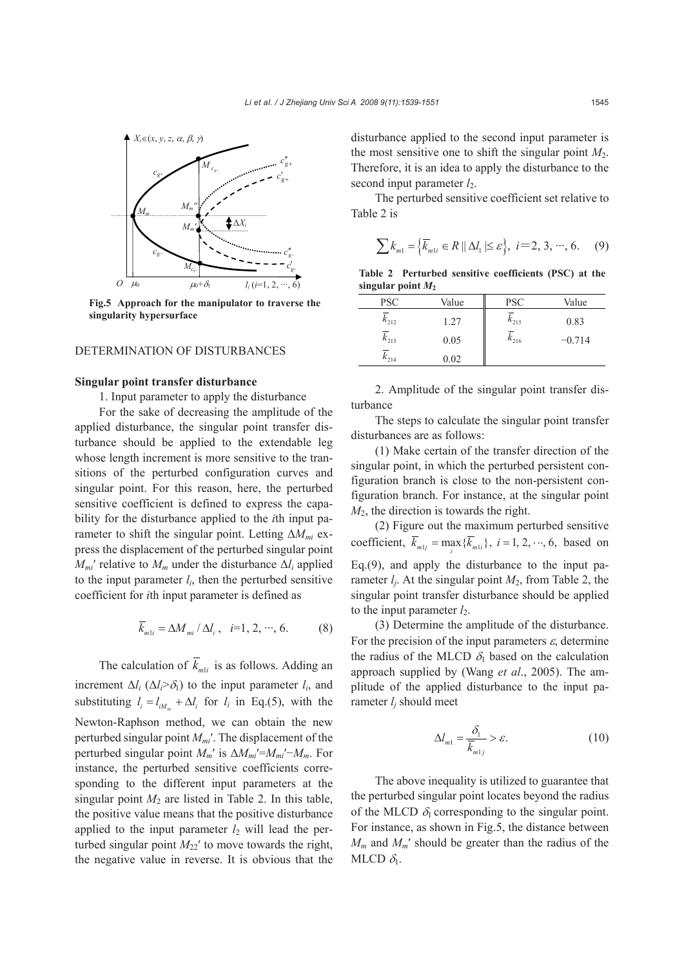

**Fig.5 Approach for the manipulator to traverse the singularity hypersurface** 

# DETERMINATION OF DISTURBANCES

# **Singular point transfer disturbance**

1. Input parameter to apply the disturbance

For the sake of decreasing the amplitude of the applied disturbance, the singular point transfer disturbance should be applied to the extendable leg whose length increment is more sensitive to the transitions of the perturbed configuration curves and singular point. For this reason, here, the perturbed sensitive coefficient is defined to express the capability for the disturbance applied to the *i*th input parameter to shift the singular point. Letting Δ*Mmi* express the displacement of the perturbed singular point  $M_{mi}$ <sup>'</sup> relative to  $M_m$  under the disturbance  $\Delta l_i$  applied to the input parameter  $l_i$ , then the perturbed sensitive coefficient for *i*th input parameter is defined as

$$
\overline{k}_{m1i} = \Delta M_{mi} / \Delta l_i, \ \ i=1, 2, \cdots, 6. \tag{8}
$$

The calculation of  $\overline{k}_{m i}$  is as follows. Adding an increment  $\Delta l_i$  ( $\Delta l_i > \delta_1$ ) to the input parameter  $l_i$ , and substituting  $l_i = l_{iM_{i+1}} + \Delta l_i$  for  $l_i$  in Eq.(5), with the Newton-Raphson method, we can obtain the new perturbed singular point *Mmi*′. The displacement of the perturbed singular point *Mm*′ is Δ*Mmi*′=*Mmi*′−*Mm*. For instance, the perturbed sensitive coefficients corresponding to the different input parameters at the singular point  $M_2$  are listed in Table 2. In this table, the positive value means that the positive disturbance applied to the input parameter  $l_2$  will lead the perturbed singular point  $M_{22}$ <sup>'</sup> to move towards the right, the negative value in reverse. It is obvious that the disturbance applied to the second input parameter is the most sensitive one to shift the singular point  $M_2$ . Therefore, it is an idea to apply the disturbance to the second input parameter  $l_2$ .

The perturbed sensitive coefficient set relative to Table 2 is

$$
\sum k_{m1} = \{ \overline{k}_{m1i} \in R \mid \Delta l_1 \mid \le \varepsilon \}, \ i = 2, 3, \cdots, 6. \quad (9)
$$

**Table 2 Perturbed sensitive coefficients (PSC) at the singular point** *M***<sup>2</sup>**

| <b>PSC</b>           | Value | PSC       | Value    |
|----------------------|-------|-----------|----------|
| $k_{212}$            | 1.27  | $k_{215}$ | 0.83     |
| $k_{213}$            | 0.05  | $k_{216}$ | $-0.714$ |
| $\overline{k}_{214}$ | 0.02  |           |          |

2. Amplitude of the singular point transfer disturbance

The steps to calculate the singular point transfer disturbances are as follows:

(1) Make certain of the transfer direction of the singular point, in which the perturbed persistent configuration branch is close to the non-persistent configuration branch. For instance, at the singular point *M*2, the direction is towards the right.

(2) Figure out the maximum perturbed sensitive coefficient,  $\overline{k}_{mlj} = \max_{i} {\{\overline{k}_{mli}\}}, i = 1, 2, \dots, 6$ , based on Eq.(9), and apply the disturbance to the input parameter  $l_i$ . At the singular point  $M_2$ , from Table 2, the singular point transfer disturbance should be applied to the input parameter  $l_2$ .

(3) Determine the amplitude of the disturbance. For the precision of the input parameters  $\varepsilon$ , determine the radius of the MLCD  $\delta_1$  based on the calculation approach supplied by (Wang *et al*., 2005). The amplitude of the applied disturbance to the input parameter  $l_i$  should meet

$$
\Delta l_{m1} = \frac{\delta_1}{\overline{k}_{m1j}} > \varepsilon. \tag{10}
$$

The above inequality is utilized to guarantee that the perturbed singular point locates beyond the radius of the MLCD  $\delta_1$  corresponding to the singular point. For instance, as shown in Fig.5, the distance between  $M_m$  and  $M_m'$  should be greater than the radius of the MLCD  $\delta$ <sub>1</sub>.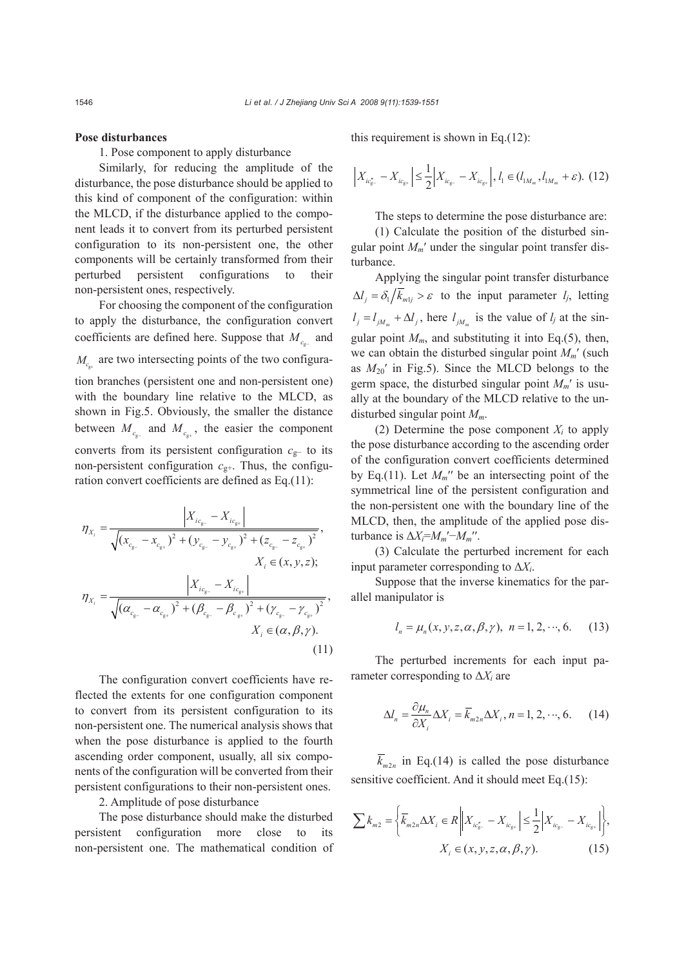#### **Pose disturbances**

1. Pose component to apply disturbance

Similarly, for reducing the amplitude of the disturbance, the pose disturbance should be applied to this kind of component of the configuration: within the MLCD, if the disturbance applied to the component leads it to convert from its perturbed persistent configuration to its non-persistent one, the other components will be certainly transformed from their perturbed persistent configurations to their non-persistent ones, respectively.

For choosing the component of the configuration to apply the disturbance, the configuration convert coefficients are defined here. Suppose that M<sub>c</sub> and  $M_{c<sub>ex</sub>}$  are two intersecting points of the two configuration branches (persistent one and non-persistent one) with the boundary line relative to the MLCD, as shown in Fig.5. Obviously, the smaller the distance between  $M_{c_{o_{-}}}$  and  $M_{c_{o_{+}}}$ , the easier the component converts from its persistent configuration *c*g− to its non-persistent configuration  $c_{g+}$ . Thus, the configuration convert coefficients are defined as Eq.(11):

$$
\eta_{X_i} = \frac{\left| X_{ic_{g^-}} - X_{ic_{g^+}} \right|}{\sqrt{\left( x_{c_{g^-}} - x_{c_{g^+}} \right)^2 + \left( y_{c_{g^-}} - y_{c_{g^+}} \right)^2 + \left( z_{c_{g^-}} - z_{c_{g^+}} \right)^2}},
$$
\n
$$
\eta_{X_i} = \frac{\left| X_{ic_{g^-}} - X_{ic_{g^+}} \right|}{\sqrt{\left( \alpha_{c_{g^-}} - \alpha_{c_{g^+}} \right)^2 + \left( \beta_{c_{g^-}} - \beta_{c_{g^+}} \right)^2 + \left( \gamma_{c_{g^-}} - \gamma_{c_{g^+}} \right)^2}},
$$
\n
$$
X_i \in (\alpha, \beta, \gamma).
$$
\n(11)

The configuration convert coefficients have reflected the extents for one configuration component to convert from its persistent configuration to its non-persistent one. The numerical analysis shows that when the pose disturbance is applied to the fourth ascending order component, usually, all six components of the configuration will be converted from their persistent configurations to their non-persistent ones. 2. Amplitude of pose disturbance

The pose disturbance should make the disturbed persistent configuration more close to its non-persistent one. The mathematical condition of this requirement is shown in Eq.(12):

$$
\left| X_{ic_{g^-}^*} - X_{ic_{g^*}} \right| \leq \frac{1}{2} \left| X_{ic_{g^-}} - X_{ic_{g^*}} \right|, l_1 \in (l_{1M_m}, l_{1M_m} + \varepsilon). \tag{12}
$$

The steps to determine the pose disturbance are:

(1) Calculate the position of the disturbed singular point  $M_m'$  under the singular point transfer disturbance.

Applying the singular point transfer disturbance  $\Delta l_i = \delta_i / \overline{k}_{mli} > \varepsilon$  to the input parameter  $l_i$ , letting  $l_i = l_{iM_m} + \Delta l_i$ , here  $l_{iM_m}$  is the value of  $l_i$  at the singular point  $M_m$ , and substituting it into Eq.(5), then, we can obtain the disturbed singular point *Mm*′ (such as  $M_{20}$ <sup>'</sup> in Fig.5). Since the MLCD belongs to the germ space, the disturbed singular point  $M_m'$  is usually at the boundary of the MLCD relative to the undisturbed singular point *Mm*.

(2) Determine the pose component  $X_i$  to apply the pose disturbance according to the ascending order of the configuration convert coefficients determined by Eq.(11). Let  $M_m''$  be an intersecting point of the symmetrical line of the persistent configuration and the non-persistent one with the boundary line of the MLCD, then, the amplitude of the applied pose disturbance is  $\Delta X = M_m' - M_m''$ .

(3) Calculate the perturbed increment for each input parameter corresponding to Δ*Xi*.

Suppose that the inverse kinematics for the parallel manipulator is

$$
l_n = \mu_n(x, y, z, \alpha, \beta, \gamma), \ n = 1, 2, \cdots, 6. \tag{13}
$$

The perturbed increments for each input parameter corresponding to Δ*Xi* are

$$
\Delta l_n = \frac{\partial \mu_n}{\partial X_i} \Delta X_i = \overline{k}_{m2n} \Delta X_i, n = 1, 2, \cdots, 6. \tag{14}
$$

 $\overline{k}_{m2n}$  in Eq.(14) is called the pose disturbance sensitive coefficient. And it should meet Eq.(15):

$$
\sum k_{m2} = \left\{ \overline{k}_{m2n} \Delta X_i \in R \, \bigg| \, X_{ic_{g-}^r} - X_{ic_{g+}} \bigg| \le \frac{1}{2} \bigg| X_{ic_{g-}} - X_{ic_{g+}} \bigg| \right\},\,
$$
\n
$$
X_i \in (x, y, z, \alpha, \beta, \gamma). \tag{15}
$$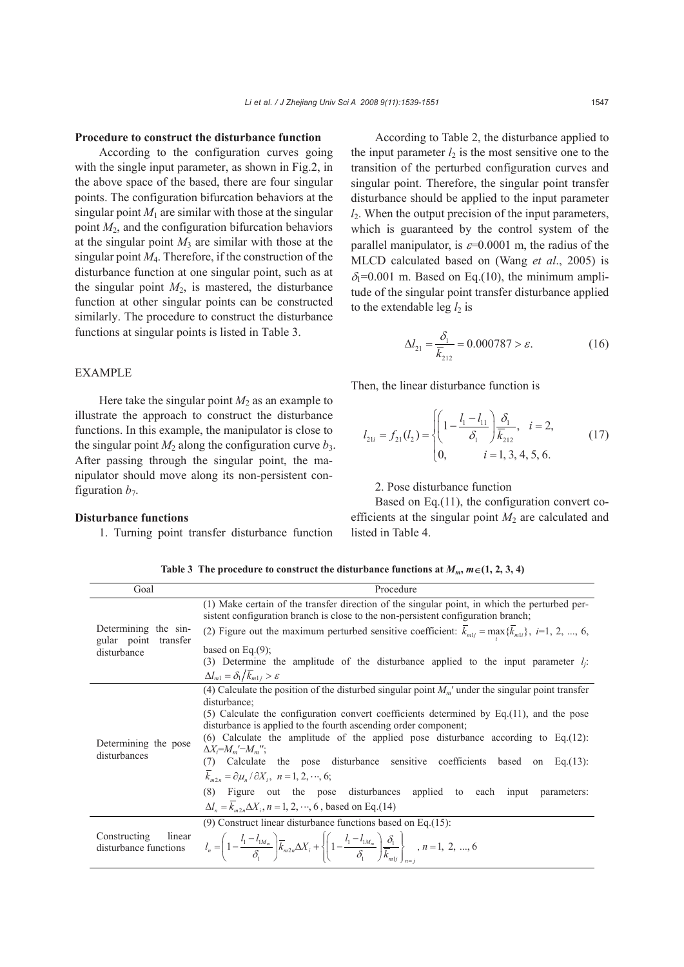#### **Procedure to construct the disturbance function**

According to the configuration curves going with the single input parameter, as shown in Fig.2, in the above space of the based, there are four singular points. The configuration bifurcation behaviors at the singular point  $M_1$  are similar with those at the singular point  $M_2$ , and the configuration bifurcation behaviors at the singular point  $M_3$  are similar with those at the singular point *M*4. Therefore, if the construction of the disturbance function at one singular point, such as at the singular point  $M_2$ , is mastered, the disturbance function at other singular points can be constructed similarly. The procedure to construct the disturbance functions at singular points is listed in Table 3.

# EXAMPLE

Here take the singular point  $M_2$  as an example to illustrate the approach to construct the disturbance functions. In this example, the manipulator is close to the singular point  $M_2$  along the configuration curve  $b_3$ . After passing through the singular point, the manipulator should move along its non-persistent configuration  $b_7$ .

#### **Disturbance functions**

1. Turning point transfer disturbance function

According to Table 2, the disturbance applied to the input parameter  $l_2$  is the most sensitive one to the transition of the perturbed configuration curves and singular point. Therefore, the singular point transfer disturbance should be applied to the input parameter *l*2. When the output precision of the input parameters, which is guaranteed by the control system of the parallel manipulator, is  $\varepsilon=0.0001$  m, the radius of the MLCD calculated based on (Wang *et al*., 2005) is  $\delta_1=0.001$  m. Based on Eq.(10), the minimum amplitude of the singular point transfer disturbance applied to the extendable leg  $l_2$  is

$$
\Delta l_{21} = \frac{\delta_1}{\overline{k}_{212}} = 0.000787 > \varepsilon.
$$
 (16)

Then, the linear disturbance function is

$$
l_{21i} = f_{21}(l_2) = \begin{cases} \left(1 - \frac{l_1 - l_{11}}{\delta_1}\right) \frac{\delta_1}{\overline{k}_{212}}, & i = 2, \\ 0, & i = 1, 3, 4, 5, 6. \end{cases}
$$
(17)

# 2. Pose disturbance function

Based on Eq.(11), the configuration convert coefficients at the singular point *M*2 are calculated and listed in Table 4.

Table 3 The procedure to construct the disturbance functions at  $M_m$ ,  $m \in (1, 2, 3, 4)$ 

| Goal                                            | Procedure                                                                                                                                                                                                                                                                                                                                                                                                                                                                                                                                                                                                                                                                                                                              |  |  |  |  |
|-------------------------------------------------|----------------------------------------------------------------------------------------------------------------------------------------------------------------------------------------------------------------------------------------------------------------------------------------------------------------------------------------------------------------------------------------------------------------------------------------------------------------------------------------------------------------------------------------------------------------------------------------------------------------------------------------------------------------------------------------------------------------------------------------|--|--|--|--|
| Determining the sin-                            | (1) Make certain of the transfer direction of the singular point, in which the perturbed per-<br>sistent configuration branch is close to the non-persistent configuration branch;<br>(2) Figure out the maximum perturbed sensitive coefficient: $\overline{k}_{mlj} = \max{\{\overline{k}_{mli}\}\}\,$ , $i=1, 2, , 6$ ,                                                                                                                                                                                                                                                                                                                                                                                                             |  |  |  |  |
| gular point<br>transfer<br>disturbance          | based on Eq. $(9)$ ;<br>(3) Determine the amplitude of the disturbance applied to the input parameter $l_i$ :<br>$\Delta l_{m1} = \delta_1 / \overline{k}_{m1} > \varepsilon$                                                                                                                                                                                                                                                                                                                                                                                                                                                                                                                                                          |  |  |  |  |
| Determining the pose<br>disturbances            | (4) Calculate the position of the disturbed singular point $M_m$ under the singular point transfer<br>disturbance;<br>$(5)$ Calculate the configuration convert coefficients determined by Eq. (11), and the pose<br>disturbance is applied to the fourth ascending order component;<br>(6) Calculate the amplitude of the applied pose disturbance according to Eq. $(12)$ :<br>$\Delta X_i = M_m' - M_m''$ ;<br>(7) Calculate the pose disturbance sensitive coefficients based on Eq.(13):<br>$\overline{k}_{m2n} = \partial \mu_n / \partial X_i$ , $n = 1, 2, \dots, 6;$<br>(8) Figure out the pose disturbances applied to each input parameters:<br>$\Delta l_n = k_{m2n} \Delta X_i$ , $n = 1, 2, \dots, 6$ , based on Eq.(14) |  |  |  |  |
| Constructing<br>linear<br>disturbance functions | $(9)$ Construct linear disturbance functions based on Eq. $(15)$ :<br>$l_n = \left(1 - \frac{l_1 - l_{1M_m}}{\delta_1}\right) \overline{k}_{m2n} \Delta X_i + \left\{ \left(1 - \frac{l_1 - l_{1M_m}}{\delta_1}\right) \frac{\delta_1}{\overline{k}_{m1n}} \right\}$ , $n = 1, 2, , 6$                                                                                                                                                                                                                                                                                                                                                                                                                                                 |  |  |  |  |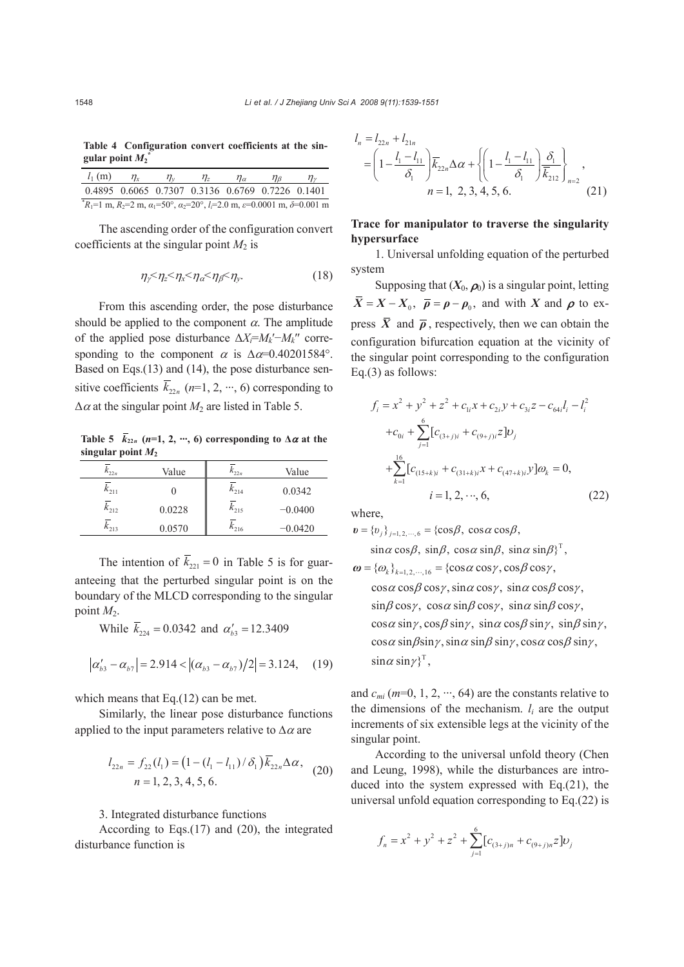**Table 4 Configuration convert coefficients at the sin**gular point  $M_2^*$ 

| $l_1$ (m) | $n_{\rm v}$ | $\eta_{v}$ | η,                                                                                                                 | $\eta_{\alpha}$ | $\eta_B$ | $\eta_{\nu}$ |
|-----------|-------------|------------|--------------------------------------------------------------------------------------------------------------------|-----------------|----------|--------------|
|           |             |            | 0.4895 0.6065 0.7307 0.3136 0.6769 0.7226 0.1401                                                                   |                 |          |              |
|           |             |            | $R_1$ =1 m, $R_2$ =2 m, $\alpha_1$ =50°, $\alpha_2$ =20°, $l_i$ =2.0 m, $\varepsilon$ =0.0001 m, $\delta$ =0.001 m |                 |          |              |

The ascending order of the configuration convert coefficients at the singular point  $M_2$  is

$$
\eta_{\gamma} < \eta_{z} < \eta_{\alpha} < \eta_{\beta} < \eta_{y}.
$$
\n(18)

From this ascending order, the pose disturbance should be applied to the component  $\alpha$ . The amplitude of the applied pose disturbance Δ*Xi*=*Mk*′−*Mk*′′ corresponding to the component  $\alpha$  is  $\Delta \alpha = 0.40201584^{\circ}$ . Based on Eqs.(13) and (14), the pose disturbance sensitive coefficients  $\overline{k}_{22n}$  ( $n=1, 2, \cdots, 6$ ) corresponding to  $\Delta \alpha$  at the singular point  $M_2$  are listed in Table 5.

**Table 5**  $\bar{k}_{22n}$  ( $n=1, 2, ..., 6$ ) corresponding to  $\Delta \alpha$  at the **singular point** *M***<sup>2</sup>**

| $n_{22n}$ | Value  | $n_{22n}$ | Value     |
|-----------|--------|-----------|-----------|
| $k_{211}$ |        | $k_{214}$ | 0.0342    |
| $k_{212}$ | 0.0228 | $k_{215}$ | $-0.0400$ |
| $k_{213}$ | 0.0570 | $k_{216}$ | $-0.0420$ |

The intention of  $\overline{k}_{221} = 0$  in Table 5 is for guaranteeing that the perturbed singular point is on the boundary of the MLCD corresponding to the singular point  $M_2$ .

While 
$$
\overline{k}_{224} = 0.0342
$$
 and  $\alpha'_{b3} = 12.3409$ 

$$
|\alpha'_{b3} - \alpha_{b7}| = 2.914 < |(\alpha_{b3} - \alpha_{b7})/2| = 3.124,
$$
 (19)

which means that Eq.(12) can be met.

Similarly, the linear pose disturbance functions applied to the input parameters relative to  $\Delta \alpha$  are

$$
l_{22n} = f_{22}(l_1) = (1 - (l_1 - l_{11})/\delta_1) \overline{k}_{22n} \Delta \alpha, \quad (20)
$$
  

$$
n = 1, 2, 3, 4, 5, 6.
$$

#### 3. Integrated disturbance functions

According to Eqs.(17) and (20), the integrated disturbance function is

$$
l_n = l_{22n} + l_{21n}
$$
  
=  $\left(1 - \frac{l_1 - l_{11}}{\delta_1}\right) \overline{k}_{22n} \Delta \alpha + \left\{ \left(1 - \frac{l_1 - l_{11}}{\delta_1}\right) \frac{\delta_1}{\overline{k}_{212}} \right\}_{n=2},$   

$$
n = 1, 2, 3, 4, 5, 6.
$$
 (21)

# **Trace for manipulator to traverse the singularity hypersurface**

1. Universal unfolding equation of the perturbed system

Supposing that  $(X_0, \rho_0)$  is a singular point, letting  $\overline{X} = X - X_0$ ,  $\overline{\rho} = \rho - \rho_0$ , and with *X* and  $\rho$  to express  $\bar{X}$  and  $\bar{\rho}$ , respectively, then we can obtain the configuration bifurcation equation at the vicinity of the singular point corresponding to the configuration Eq.(3) as follows:

$$
f_i = x^2 + y^2 + z^2 + c_{1i}x + c_{2i}y + c_{3i}z - c_{64i}l_i - l_i^2
$$
  
+
$$
c_{0i} + \sum_{j=1}^{6} [c_{(3+j)i} + c_{(9+j)i}z]v_j
$$
  
+
$$
\sum_{k=1}^{16} [c_{(15+k)i} + c_{(31+k)i}x + c_{(47+k)i}y] \omega_k = 0,
$$
  
 $i = 1, 2, \dots, 6,$  (22)

where,

 $\bm{v} = \{v_j\}_{j=1, 2, \cdots, 6} = \{\cos\beta, \cos\alpha \cos\beta,$ 

 $\sin \alpha \cos \beta$ ,  $\sin \beta$ ,  $\cos \alpha \sin \beta$ ,  $\sin \alpha \sin \beta$ ,<sup>T</sup>,

 $\boldsymbol{\omega} = {\{\omega_k\}}_{k=1, 2, \cdots, 16} = {\cos \alpha \cos \gamma}, {\cos \beta \cos \gamma},$  $\cos \alpha \cos \beta \cos \gamma$ ,  $\sin \alpha \cos \gamma$ ,  $\sin \alpha \cos \beta \cos \gamma$ ,  $\sin \beta \cos \gamma$ ,  $\cos \alpha \sin \beta \cos \gamma$ ,  $\sin \alpha \sin \beta \cos \gamma$ ,  $\cos \alpha \sin \gamma$ ,  $\cos \beta \sin \gamma$ ,  $\sin \alpha \cos \beta \sin \gamma$ ,  $\sin \beta \sin \gamma$ ,  $\cos \alpha \sin \beta \sin \gamma$ ,  $\sin \alpha \sin \beta \sin \gamma$ ,  $\cos \alpha \cos \beta \sin \gamma$ ,  $\sin \alpha \sin \gamma$ <sup>T</sup>,

and  $c_{mi}$  ( $m=0, 1, 2, \cdots, 64$ ) are the constants relative to the dimensions of the mechanism.  $l_i$  are the output increments of six extensible legs at the vicinity of the singular point.

According to the universal unfold theory (Chen and Leung, 1998), while the disturbances are introduced into the system expressed with Eq.(21), the universal unfold equation corresponding to Eq.(22) is

$$
f_n = x^2 + y^2 + z^2 + \sum_{j=1}^{6} [c_{(3+j)n} + c_{(9+j)n}z]v_j
$$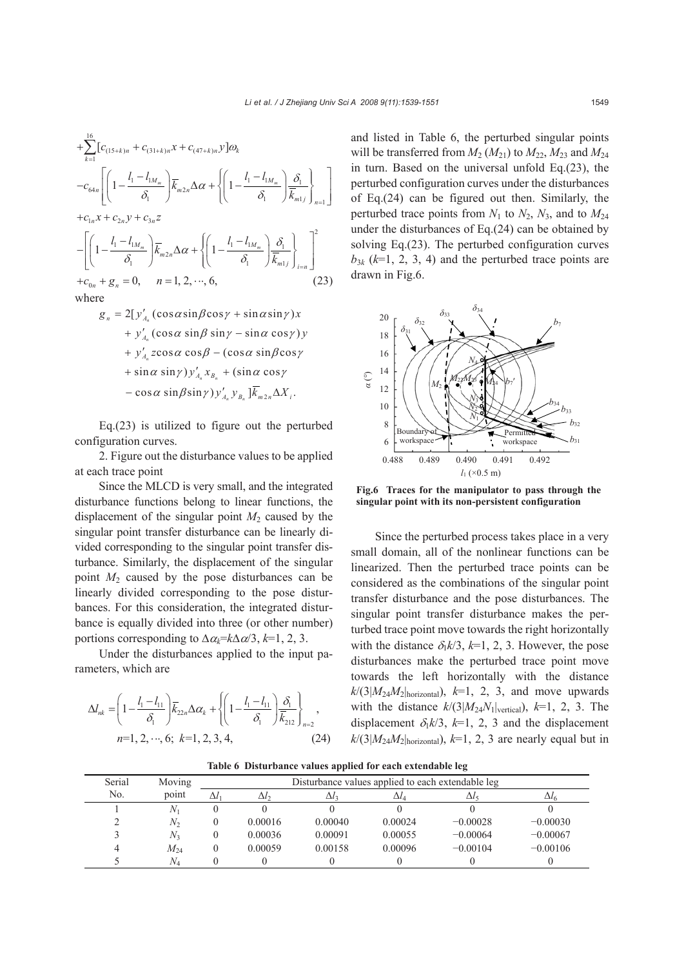$$
+\sum_{k=1}^{16} [c_{(15+k)n} + c_{(31+k)n}x + c_{(47+k)n}y]\omega_k
$$
  
\n
$$
-c_{64n} \left[ \left( 1 - \frac{l_1 - l_{1M_m}}{\delta_1} \right) \overline{k}_{m2n} \Delta \alpha + \left\{ \left( 1 - \frac{l_1 - l_{1M_m}}{\delta_1} \right) \frac{\delta_1}{\overline{k}_{m1j}} \right\}_{n=1} \right]
$$
  
\n
$$
+c_{1n}x + c_{2n}y + c_{3n}z
$$
  
\n
$$
-\left[ \left( 1 - \frac{l_1 - l_{1M_m}}{\delta_1} \right) \overline{k}_{m2n} \Delta \alpha + \left\{ \left( 1 - \frac{l_1 - l_{1M_m}}{\delta_1} \right) \frac{\delta_1}{\overline{k}_{m1j}} \right\}_{i=n} \right]^2
$$
  
\n
$$
+c_{0n} + g_n = 0, \quad n = 1, 2, \dots, 6,
$$
  
\nwhere  
\n
$$
g_n = 2[y'_\Delta (\cos \alpha \sin \beta \cos \gamma + \sin \alpha \sin \gamma)x
$$

 $+ y'_{A_n} (\cos \alpha \sin \beta \sin \gamma - \sin \alpha \cos \gamma) y$  $y'_{A_n}$ zcos  $\alpha$  cos  $\beta$  – (cos  $\alpha$  sin  $\beta$ cos  $\gamma$ +  $\sin \alpha \sin \gamma$ )  $y'_{A_n} x_{B_n}$  +  $(\sin \alpha \cos \gamma)$  $- \cos \alpha \sin \beta \sin \gamma$ )  $y'_{A_n} y_{B_n}$   $\overline{k}_{m2n} \Delta X_i$ . *n*  $n - 2Ly_A$ 

Eq.(23) is utilized to figure out the perturbed configuration curves.

2. Figure out the disturbance values to be applied at each trace point

Since the MLCD is very small, and the integrated disturbance functions belong to linear functions, the displacement of the singular point  $M_2$  caused by the singular point transfer disturbance can be linearly divided corresponding to the singular point transfer disturbance. Similarly, the displacement of the singular point  $M_2$  caused by the pose disturbances can be linearly divided corresponding to the pose disturbances. For this consideration, the integrated disturbance is equally divided into three (or other number) portions corresponding to  $\Delta \alpha_k = k \Delta \alpha/3$ ,  $k=1, 2, 3$ .

Under the disturbances applied to the input parameters, which are

$$
\Delta l_{nk} = \left(1 - \frac{l_1 - l_{11}}{\delta_1}\right) \overline{k}_{22n} \Delta \alpha_k + \left\{ \left(1 - \frac{l_1 - l_{11}}{\delta_1}\right) \frac{\delta_1}{\overline{k}_{212}} \right\}_{n=2},
$$
  
n=1, 2, ..., 6; k=1, 2, 3, 4, (24)

and listed in Table 6, the perturbed singular points will be transferred from  $M_2$  ( $M_{21}$ ) to  $M_{22}$ ,  $M_{23}$  and  $M_{24}$ in turn. Based on the universal unfold Eq.(23), the perturbed configuration curves under the disturbances of Eq.(24) can be figured out then. Similarly, the perturbed trace points from  $N_1$  to  $N_2$ ,  $N_3$ , and to  $M_{24}$ under the disturbances of Eq.(24) can be obtained by solving Eq.(23). The perturbed configuration curves  $b_{3k}$  ( $k=1, 2, 3, 4$ ) and the perturbed trace points are drawn in Fig.6.



**Fig.6 Traces for the manipulator to pass through the singular point with its non-persistent configuration** 

Since the perturbed process takes place in a very small domain, all of the nonlinear functions can be linearized. Then the perturbed trace points can be considered as the combinations of the singular point transfer disturbance and the pose disturbances. The singular point transfer disturbance makes the perturbed trace point move towards the right horizontally with the distance  $\delta_1 k/3$ ,  $k=1, 2, 3$ . However, the pose disturbances make the perturbed trace point move towards the left horizontally with the distance  $k/(3|M_{24}M_2|_{\text{horizontal}}), k=1, 2, 3, \text{ and move upwards}$ with the distance  $k/(3|M_{24}N_1|_{\text{vertical}})$ ,  $k=1, 2, 3$ . The displacement  $\delta_1 k/3$ ,  $k=1, 2, 3$  and the displacement  $k/(3|M_{24}M_{2}|_{\text{horizontal}})$ ,  $k=1, 2, 3$  are nearly equal but in

**Table 6 Disturbance values applied for each extendable leg** 

| Table of Distancement values applied for each extendable reg- |                |                                                   |              |            |                |            |            |
|---------------------------------------------------------------|----------------|---------------------------------------------------|--------------|------------|----------------|------------|------------|
| Serial                                                        | Moving         | Disturbance values applied to each extendable leg |              |            |                |            |            |
| No.                                                           | point          | $\Delta l$                                        | $\Delta l_2$ | $\Delta l$ | $\Delta l_{4}$ | $\Delta l$ |            |
|                                                               |                |                                                   |              |            |                |            |            |
|                                                               | N <sub>2</sub> |                                                   | 0.00016      | 0.00040    | 0.00024        | $-0.00028$ | $-0.00030$ |
|                                                               | $N_{3}$        |                                                   | 0.00036      | 0.00091    | 0.00055        | $-0.00064$ | $-0.00067$ |
| 4                                                             | $M_{24}$       |                                                   | 0.00059      | 0.00158    | 0.00096        | $-0.00104$ | $-0.00106$ |
|                                                               | $N_{4}$        |                                                   |              |            |                |            |            |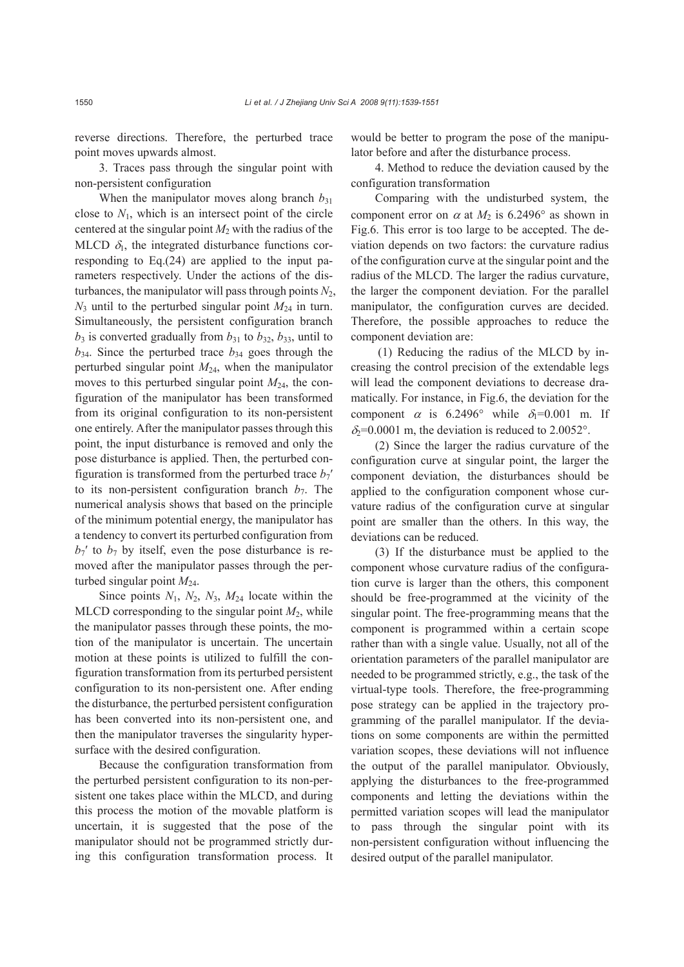reverse directions. Therefore, the perturbed trace point moves upwards almost.

3. Traces pass through the singular point with non-persistent configuration

When the manipulator moves along branch  $b_{31}$ close to  $N_1$ , which is an intersect point of the circle centered at the singular point  $M_2$  with the radius of the MLCD  $\delta_1$ , the integrated disturbance functions corresponding to Eq.(24) are applied to the input parameters respectively. Under the actions of the disturbances, the manipulator will pass through points  $N_2$ ,  $N_3$  until to the perturbed singular point  $M_{24}$  in turn. Simultaneously, the persistent configuration branch  $b_3$  is converted gradually from  $b_{31}$  to  $b_{32}$ ,  $b_{33}$ , until to  $b_{34}$ . Since the perturbed trace  $b_{34}$  goes through the perturbed singular point *M*24, when the manipulator moves to this perturbed singular point  $M<sub>24</sub>$ , the configuration of the manipulator has been transformed from its original configuration to its non-persistent one entirely. After the manipulator passes through this point, the input disturbance is removed and only the pose disturbance is applied. Then, the perturbed configuration is transformed from the perturbed trace  $b_7$ <sup>'</sup> to its non-persistent configuration branch  $b_7$ . The numerical analysis shows that based on the principle of the minimum potential energy, the manipulator has a tendency to convert its perturbed configuration from  $b_7$ ' to  $b_7$  by itself, even the pose disturbance is removed after the manipulator passes through the perturbed singular point  $M_{24}$ .

Since points  $N_1$ ,  $N_2$ ,  $N_3$ ,  $M_{24}$  locate within the MLCD corresponding to the singular point  $M_2$ , while the manipulator passes through these points, the motion of the manipulator is uncertain. The uncertain motion at these points is utilized to fulfill the configuration transformation from its perturbed persistent configuration to its non-persistent one. After ending the disturbance, the perturbed persistent configuration has been converted into its non-persistent one, and then the manipulator traverses the singularity hypersurface with the desired configuration.

Because the configuration transformation from the perturbed persistent configuration to its non-persistent one takes place within the MLCD, and during this process the motion of the movable platform is uncertain, it is suggested that the pose of the manipulator should not be programmed strictly during this configuration transformation process. It would be better to program the pose of the manipulator before and after the disturbance process.

4. Method to reduce the deviation caused by the configuration transformation

Comparing with the undisturbed system, the component error on  $\alpha$  at  $M_2$  is 6.2496° as shown in Fig.6. This error is too large to be accepted. The deviation depends on two factors: the curvature radius of the configuration curve at the singular point and the radius of the MLCD. The larger the radius curvature, the larger the component deviation. For the parallel manipulator, the configuration curves are decided. Therefore, the possible approaches to reduce the component deviation are:

 (1) Reducing the radius of the MLCD by increasing the control precision of the extendable legs will lead the component deviations to decrease dramatically. For instance, in Fig.6, the deviation for the component  $\alpha$  is 6.2496° while  $\delta_1=0.001$  m. If  $\delta_2$ =0.0001 m, the deviation is reduced to 2.0052°.

(2) Since the larger the radius curvature of the configuration curve at singular point, the larger the component deviation, the disturbances should be applied to the configuration component whose curvature radius of the configuration curve at singular point are smaller than the others. In this way, the deviations can be reduced.

(3) If the disturbance must be applied to the component whose curvature radius of the configuration curve is larger than the others, this component should be free-programmed at the vicinity of the singular point. The free-programming means that the component is programmed within a certain scope rather than with a single value. Usually, not all of the orientation parameters of the parallel manipulator are needed to be programmed strictly, e.g., the task of the virtual-type tools. Therefore, the free-programming pose strategy can be applied in the trajectory programming of the parallel manipulator. If the deviations on some components are within the permitted variation scopes, these deviations will not influence the output of the parallel manipulator. Obviously, applying the disturbances to the free-programmed components and letting the deviations within the permitted variation scopes will lead the manipulator to pass through the singular point with its non-persistent configuration without influencing the desired output of the parallel manipulator.